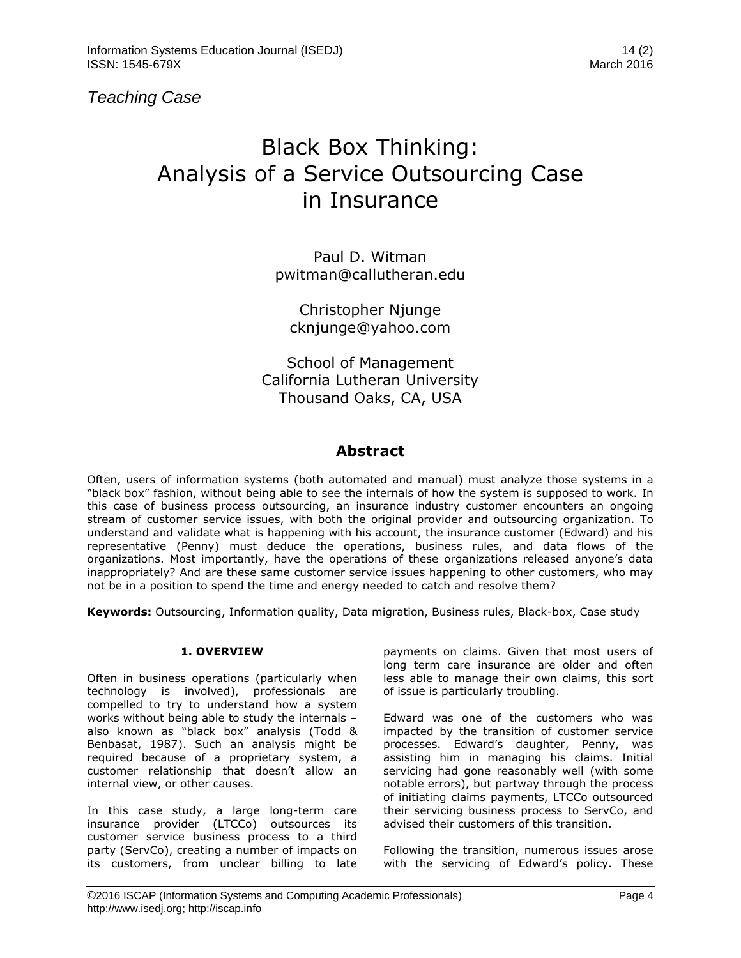*Teaching Case* 

# Black Box Thinking: Analysis of a Service Outsourcing Case in Insurance

Paul D. Witman [pwitman@callutheran.edu](mailto:pwitman@callutheran.edu)

Christopher Njunge [cknjunge@yahoo.com](mailto:cknjunge@yahoo.com)

School of Management California Lutheran University Thousand Oaks, CA, USA

## **Abstract**

Often, users of information systems (both automated and manual) must analyze those systems in a "black box" fashion, without being able to see the internals of how the system is supposed to work. In this case of business process outsourcing, an insurance industry customer encounters an ongoing stream of customer service issues, with both the original provider and outsourcing organization. To understand and validate what is happening with his account, the insurance customer (Edward) and his representative (Penny) must deduce the operations, business rules, and data flows of the organizations. Most importantly, have the operations of these organizations released anyone's data inappropriately? And are these same customer service issues happening to other customers, who may not be in a position to spend the time and energy needed to catch and resolve them?

**Keywords:** Outsourcing, Information quality, Data migration, Business rules, Black-box, Case study

#### **1. OVERVIEW**

Often in business operations (particularly when technology is involved), professionals are compelled to try to understand how a system works without being able to study the internals – also known as "black box" analysis (Todd & Benbasat, 1987). Such an analysis might be required because of a proprietary system, a customer relationship that doesn't allow an internal view, or other causes.

In this case study, a large long-term care insurance provider (LTCCo) outsources its customer service business process to a third party (ServCo), creating a number of impacts on its customers, from unclear billing to late

payments on claims. Given that most users of long term care insurance are older and often less able to manage their own claims, this sort of issue is particularly troubling.

Edward was one of the customers who was impacted by the transition of customer service processes. Edward's daughter, Penny, was assisting him in managing his claims. Initial servicing had gone reasonably well (with some notable errors), but partway through the process of initiating claims payments, LTCCo outsourced their servicing business process to ServCo, and advised their customers of this transition.

Following the transition, numerous issues arose with the servicing of Edward's policy. These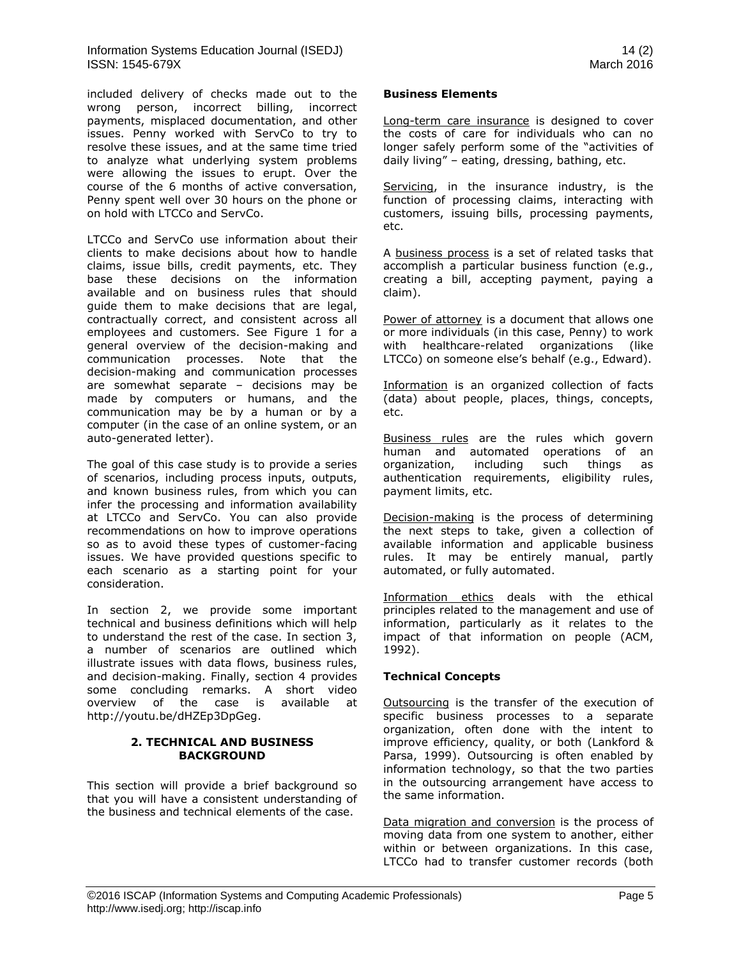included delivery of checks made out to the wrong person, incorrect billing, incorrect payments, misplaced documentation, and other issues. Penny worked with ServCo to try to resolve these issues, and at the same time tried to analyze what underlying system problems were allowing the issues to erupt. Over the course of the 6 months of active conversation, Penny spent well over 30 hours on the phone or on hold with LTCCo and ServCo.

LTCCo and ServCo use information about their clients to make decisions about how to handle claims, issue bills, credit payments, etc. They base these decisions on the information available and on business rules that should guide them to make decisions that are legal, contractually correct, and consistent across all employees and customers. See Figure 1 for a general overview of the decision-making and communication processes. Note that the decision-making and communication processes are somewhat separate – decisions may be made by computers or humans, and the communication may be by a human or by a computer (in the case of an online system, or an auto-generated letter).

The goal of this case study is to provide a series of scenarios, including process inputs, outputs, and known business rules, from which you can infer the processing and information availability at LTCCo and ServCo. You can also provide recommendations on how to improve operations so as to avoid these types of customer-facing issues. We have provided questions specific to each scenario as a starting point for your consideration.

In section 2, we provide some important technical and business definitions which will help to understand the rest of the case. In section 3, a number of scenarios are outlined which illustrate issues with data flows, business rules, and decision-making. Finally, section 4 provides some concluding remarks. A short video overview of the case is available at [http://youtu.be/dHZEp3DpGeg.](http://youtu.be/dHZEp3DpGeg)

#### **2. TECHNICAL AND BUSINESS BACKGROUND**

This section will provide a brief background so that you will have a consistent understanding of the business and technical elements of the case.

#### **Business Elements**

Long-term care insurance is designed to cover the costs of care for individuals who can no longer safely perform some of the "activities of daily living" – eating, dressing, bathing, etc.

Servicing, in the insurance industry, is the function of processing claims, interacting with customers, issuing bills, processing payments, etc.

A business process is a set of related tasks that accomplish a particular business function (e.g., creating a bill, accepting payment, paying a claim).

Power of attorney is a document that allows one or more individuals (in this case, Penny) to work with healthcare-related organizations (like LTCCo) on someone else's behalf (e.g., Edward).

Information is an organized collection of facts (data) about people, places, things, concepts, etc.

Business rules are the rules which govern human and automated operations of an organization, including such things as authentication requirements, eligibility rules, payment limits, etc.

Decision-making is the process of determining the next steps to take, given a collection of available information and applicable business rules. It may be entirely manual, partly automated, or fully automated.

Information ethics deals with the ethical principles related to the management and use of information, particularly as it relates to the impact of that information on people (ACM, 1992).

#### **Technical Concepts**

Outsourcing is the transfer of the execution of specific business processes to a separate organization, often done with the intent to improve efficiency, quality, or both (Lankford & Parsa, 1999). Outsourcing is often enabled by information technology, so that the two parties in the outsourcing arrangement have access to the same information.

Data migration and conversion is the process of moving data from one system to another, either within or between organizations. In this case, LTCCo had to transfer customer records (both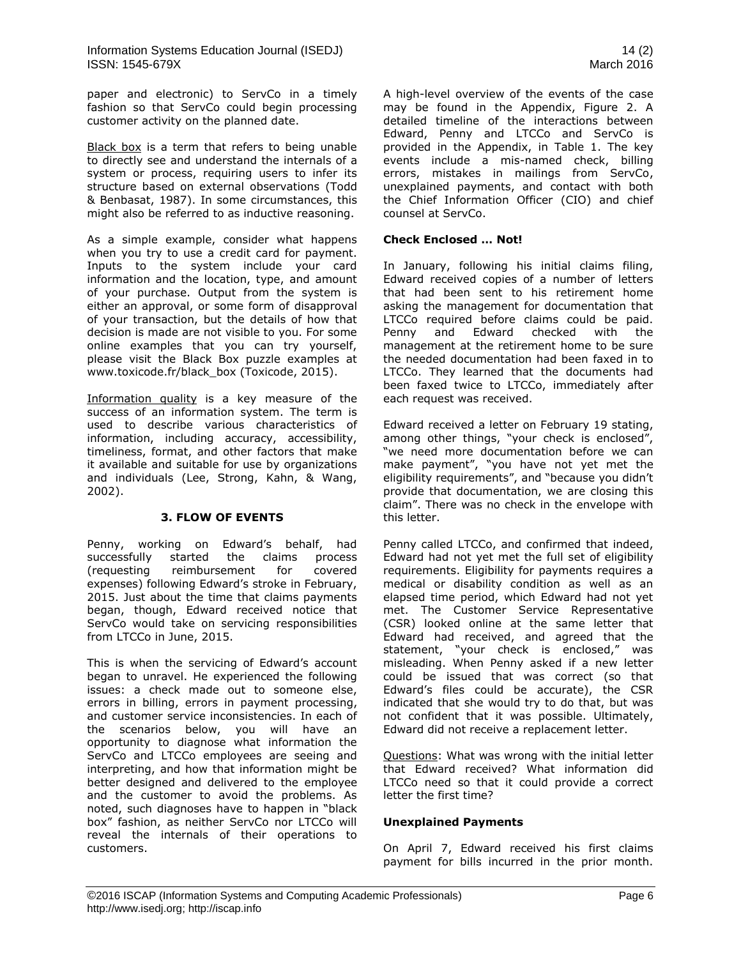paper and electronic) to ServCo in a timely fashion so that ServCo could begin processing customer activity on the planned date.

Black box is a term that refers to being unable to directly see and understand the internals of a system or process, requiring users to infer its structure based on external observations (Todd & Benbasat, 1987). In some circumstances, this might also be referred to as inductive reasoning.

As a simple example, consider what happens when you try to use a credit card for payment. Inputs to the system include your card information and the location, type, and amount of your purchase. Output from the system is either an approval, or some form of disapproval of your transaction, but the details of how that decision is made are not visible to you. For some online examples that you can try yourself, please visit the Black Box puzzle examples at [www.toxicode.fr/black\\_box](http://www.toxicode.fr/black_box) (Toxicode, 2015).

Information quality is a key measure of the success of an information system. The term is used to describe various characteristics of information, including accuracy, accessibility, timeliness, format, and other factors that make it available and suitable for use by organizations and individuals (Lee, Strong, Kahn, & Wang, 2002).

#### **3. FLOW OF EVENTS**

Penny, working on Edward's behalf, had successfully started the claims process (requesting reimbursement for covered expenses) following Edward's stroke in February, 2015. Just about the time that claims payments began, though, Edward received notice that ServCo would take on servicing responsibilities from LTCCo in June, 2015.

This is when the servicing of Edward's account began to unravel. He experienced the following issues: a check made out to someone else, errors in billing, errors in payment processing, and customer service inconsistencies. In each of the scenarios below, you will have an opportunity to diagnose what information the ServCo and LTCCo employees are seeing and interpreting, and how that information might be better designed and delivered to the employee and the customer to avoid the problems. As noted, such diagnoses have to happen in "black box" fashion, as neither ServCo nor LTCCo will reveal the internals of their operations to customers.

A high-level overview of the events of the case may be found in the Appendix, Figure 2. A detailed timeline of the interactions between Edward, Penny and LTCCo and ServCo is provided in the Appendix, in Table 1. The key events include a mis-named check, billing errors, mistakes in mailings from ServCo, unexplained payments, and contact with both the Chief Information Officer (CIO) and chief counsel at ServCo.

#### **Check Enclosed … Not!**

In January, following his initial claims filing, Edward received copies of a number of letters that had been sent to his retirement home asking the management for documentation that LTCCo required before claims could be paid. Penny and Edward checked with the management at the retirement home to be sure the needed documentation had been faxed in to LTCCo. They learned that the documents had been faxed twice to LTCCo, immediately after each request was received.

Edward received a letter on February 19 stating, among other things, "your check is enclosed", "we need more documentation before we can make payment", "you have not yet met the eligibility requirements", and "because you didn't provide that documentation, we are closing this claim". There was no check in the envelope with this letter.

Penny called LTCCo, and confirmed that indeed, Edward had not yet met the full set of eligibility requirements. Eligibility for payments requires a medical or disability condition as well as an elapsed time period, which Edward had not yet met. The Customer Service Representative (CSR) looked online at the same letter that Edward had received, and agreed that the statement, "your check is enclosed," was misleading. When Penny asked if a new letter could be issued that was correct (so that Edward's files could be accurate), the CSR indicated that she would try to do that, but was not confident that it was possible. Ultimately, Edward did not receive a replacement letter.

Questions: What was wrong with the initial letter that Edward received? What information did LTCCo need so that it could provide a correct letter the first time?

#### **Unexplained Payments**

On April 7, Edward received his first claims payment for bills incurred in the prior month.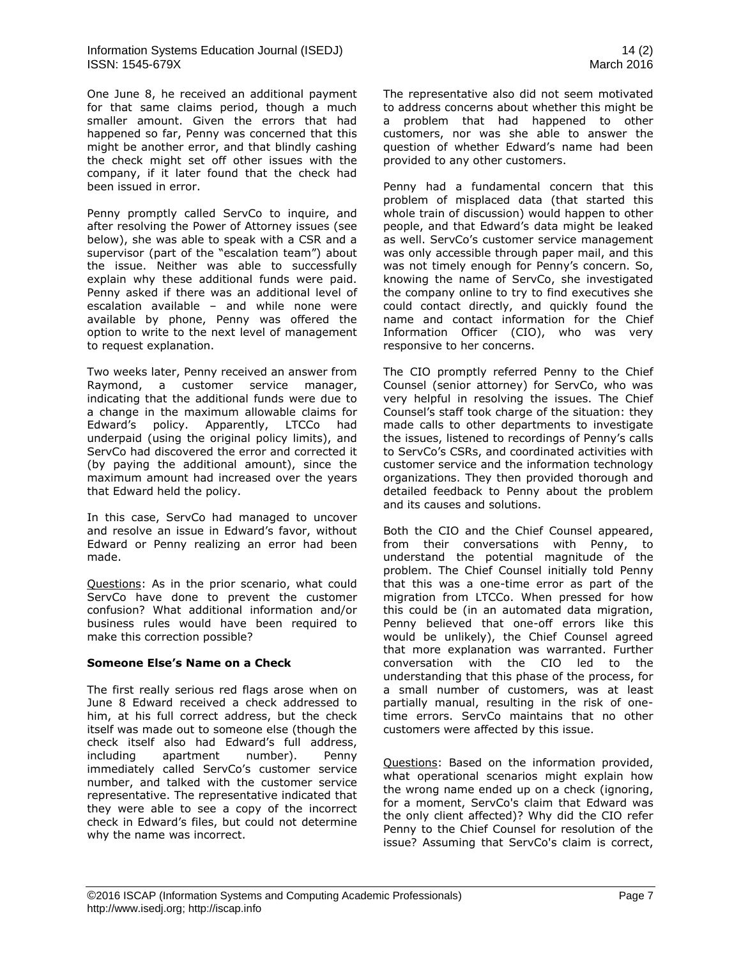One June 8, he received an additional payment for that same claims period, though a much smaller amount. Given the errors that had happened so far, Penny was concerned that this might be another error, and that blindly cashing the check might set off other issues with the company, if it later found that the check had been issued in error.

Penny promptly called ServCo to inquire, and after resolving the Power of Attorney issues (see below), she was able to speak with a CSR and a supervisor (part of the "escalation team") about the issue. Neither was able to successfully explain why these additional funds were paid. Penny asked if there was an additional level of escalation available – and while none were available by phone, Penny was offered the option to write to the next level of management to request explanation.

Two weeks later, Penny received an answer from Raymond, a customer service manager, indicating that the additional funds were due to a change in the maximum allowable claims for Edward's policy. Apparently, LTCCo had underpaid (using the original policy limits), and ServCo had discovered the error and corrected it (by paying the additional amount), since the maximum amount had increased over the years that Edward held the policy.

In this case, ServCo had managed to uncover and resolve an issue in Edward's favor, without Edward or Penny realizing an error had been made.

Questions: As in the prior scenario, what could ServCo have done to prevent the customer confusion? What additional information and/or business rules would have been required to make this correction possible?

#### **Someone Else's Name on a Check**

The first really serious red flags arose when on June 8 Edward received a check addressed to him, at his full correct address, but the check itself was made out to someone else (though the check itself also had Edward's full address, including apartment number). Penny immediately called ServCo's customer service number, and talked with the customer service representative. The representative indicated that they were able to see a copy of the incorrect check in Edward's files, but could not determine why the name was incorrect.

The representative also did not seem motivated to address concerns about whether this might be a problem that had happened to other customers, nor was she able to answer the question of whether Edward's name had been provided to any other customers.

Penny had a fundamental concern that this problem of misplaced data (that started this whole train of discussion) would happen to other people, and that Edward's data might be leaked as well. ServCo's customer service management was only accessible through paper mail, and this was not timely enough for Penny's concern. So, knowing the name of ServCo, she investigated the company online to try to find executives she could contact directly, and quickly found the name and contact information for the Chief Information Officer (CIO), who was very responsive to her concerns.

The CIO promptly referred Penny to the Chief Counsel (senior attorney) for ServCo, who was very helpful in resolving the issues. The Chief Counsel's staff took charge of the situation: they made calls to other departments to investigate the issues, listened to recordings of Penny's calls to ServCo's CSRs, and coordinated activities with customer service and the information technology organizations. They then provided thorough and detailed feedback to Penny about the problem and its causes and solutions.

Both the CIO and the Chief Counsel appeared, from their conversations with Penny, to understand the potential magnitude of the problem. The Chief Counsel initially told Penny that this was a one-time error as part of the migration from LTCCo. When pressed for how this could be (in an automated data migration, Penny believed that one-off errors like this would be unlikely), the Chief Counsel agreed that more explanation was warranted. Further conversation with the CIO led to the understanding that this phase of the process, for a small number of customers, was at least partially manual, resulting in the risk of onetime errors. ServCo maintains that no other customers were affected by this issue.

Questions: Based on the information provided, what operational scenarios might explain how the wrong name ended up on a check (ignoring, for a moment, ServCo's claim that Edward was the only client affected)? Why did the CIO refer Penny to the Chief Counsel for resolution of the issue? Assuming that ServCo's claim is correct,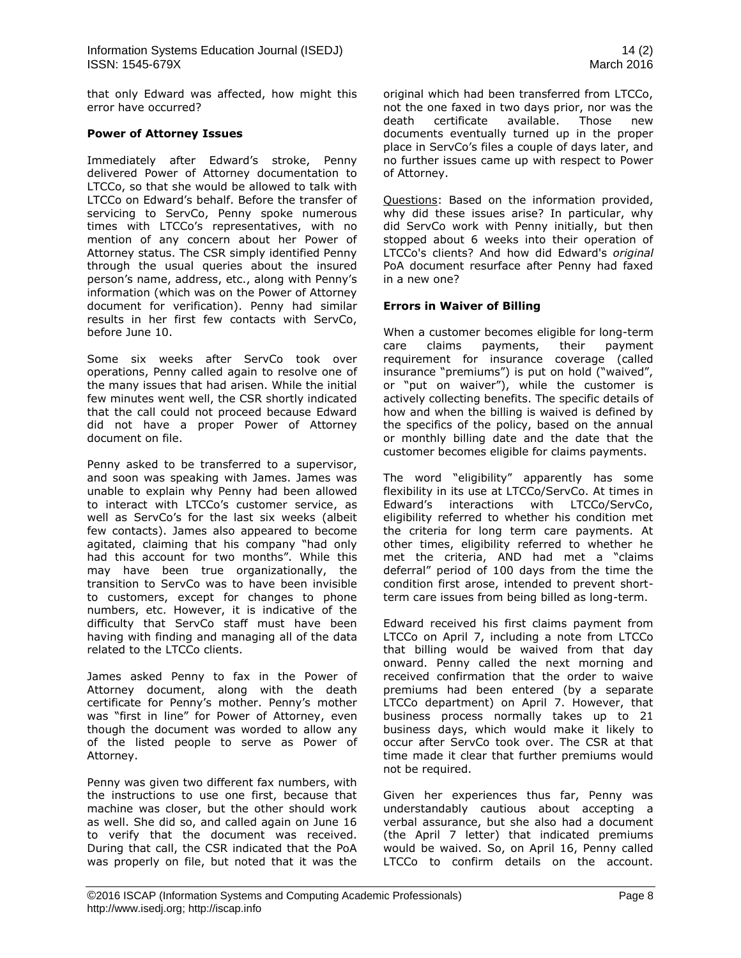that only Edward was affected, how might this error have occurred?

#### **Power of Attorney Issues**

Immediately after Edward's stroke, Penny delivered Power of Attorney documentation to LTCCo, so that she would be allowed to talk with LTCCo on Edward's behalf. Before the transfer of servicing to ServCo, Penny spoke numerous times with LTCCo's representatives, with no mention of any concern about her Power of Attorney status. The CSR simply identified Penny through the usual queries about the insured person's name, address, etc., along with Penny's information (which was on the Power of Attorney document for verification). Penny had similar results in her first few contacts with ServCo, before June 10.

Some six weeks after ServCo took over operations, Penny called again to resolve one of the many issues that had arisen. While the initial few minutes went well, the CSR shortly indicated that the call could not proceed because Edward did not have a proper Power of Attorney document on file.

Penny asked to be transferred to a supervisor, and soon was speaking with James. James was unable to explain why Penny had been allowed to interact with LTCCo's customer service, as well as ServCo's for the last six weeks (albeit few contacts). James also appeared to become agitated, claiming that his company "had only had this account for two months". While this may have been true organizationally, the transition to ServCo was to have been invisible to customers, except for changes to phone numbers, etc. However, it is indicative of the difficulty that ServCo staff must have been having with finding and managing all of the data related to the LTCCo clients.

James asked Penny to fax in the Power of Attorney document, along with the death certificate for Penny's mother. Penny's mother was "first in line" for Power of Attorney, even though the document was worded to allow any of the listed people to serve as Power of Attorney.

Penny was given two different fax numbers, with the instructions to use one first, because that machine was closer, but the other should work as well. She did so, and called again on June 16 to verify that the document was received. During that call, the CSR indicated that the PoA was properly on file, but noted that it was the

original which had been transferred from LTCCo, not the one faxed in two days prior, nor was the death certificate available. Those new documents eventually turned up in the proper place in ServCo's files a couple of days later, and no further issues came up with respect to Power of Attorney.

Questions: Based on the information provided, why did these issues arise? In particular, why did ServCo work with Penny initially, but then stopped about 6 weeks into their operation of LTCCo's clients? And how did Edward's *original* PoA document resurface after Penny had faxed in a new one?

#### **Errors in Waiver of Billing**

When a customer becomes eligible for long-term care claims payments, their payment requirement for insurance coverage (called insurance "premiums") is put on hold ("waived", or "put on waiver"), while the customer is actively collecting benefits. The specific details of how and when the billing is waived is defined by the specifics of the policy, based on the annual or monthly billing date and the date that the customer becomes eligible for claims payments.

The word "eligibility" apparently has some flexibility in its use at LTCCo/ServCo. At times in Edward's interactions with LTCCo/ServCo, eligibility referred to whether his condition met the criteria for long term care payments. At other times, eligibility referred to whether he met the criteria, AND had met a "claims deferral" period of 100 days from the time the condition first arose, intended to prevent shortterm care issues from being billed as long-term.

Edward received his first claims payment from LTCCo on April 7, including a note from LTCCo that billing would be waived from that day onward. Penny called the next morning and received confirmation that the order to waive premiums had been entered (by a separate LTCCo department) on April 7. However, that business process normally takes up to 21 business days, which would make it likely to occur after ServCo took over. The CSR at that time made it clear that further premiums would not be required.

Given her experiences thus far, Penny was understandably cautious about accepting a verbal assurance, but she also had a document (the April 7 letter) that indicated premiums would be waived. So, on April 16, Penny called LTCCo to confirm details on the account.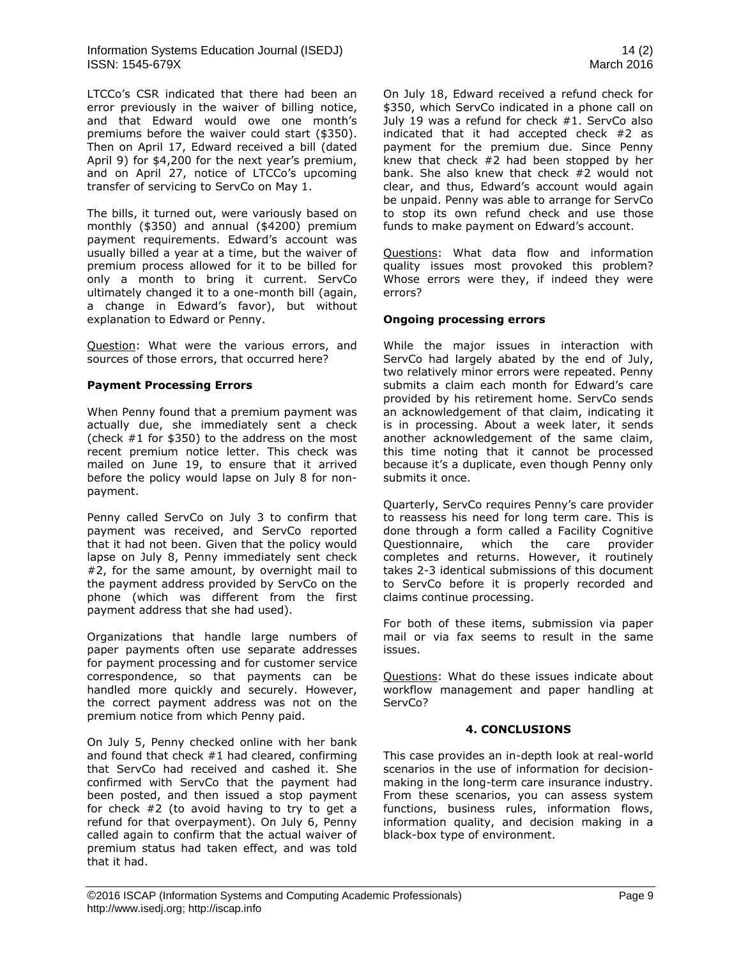LTCCo's CSR indicated that there had been an error previously in the waiver of billing notice, and that Edward would owe one month's premiums before the waiver could start (\$350). Then on April 17, Edward received a bill (dated April 9) for \$4,200 for the next year's premium, and on April 27, notice of LTCCo's upcoming transfer of servicing to ServCo on May 1.

The bills, it turned out, were variously based on monthly (\$350) and annual (\$4200) premium payment requirements. Edward's account was usually billed a year at a time, but the waiver of premium process allowed for it to be billed for only a month to bring it current. ServCo ultimately changed it to a one-month bill (again, a change in Edward's favor), but without explanation to Edward or Penny.

Question: What were the various errors, and sources of those errors, that occurred here?

#### **Payment Processing Errors**

When Penny found that a premium payment was actually due, she immediately sent a check (check #1 for \$350) to the address on the most recent premium notice letter. This check was mailed on June 19, to ensure that it arrived before the policy would lapse on July 8 for nonpayment.

Penny called ServCo on July 3 to confirm that payment was received, and ServCo reported that it had not been. Given that the policy would lapse on July 8, Penny immediately sent check #2, for the same amount, by overnight mail to the payment address provided by ServCo on the phone (which was different from the first payment address that she had used).

Organizations that handle large numbers of paper payments often use separate addresses for payment processing and for customer service correspondence, so that payments can be handled more quickly and securely. However, the correct payment address was not on the premium notice from which Penny paid.

On July 5, Penny checked online with her bank and found that check #1 had cleared, confirming that ServCo had received and cashed it. She confirmed with ServCo that the payment had been posted, and then issued a stop payment for check #2 (to avoid having to try to get a refund for that overpayment). On July 6, Penny called again to confirm that the actual waiver of premium status had taken effect, and was told that it had.

On July 18, Edward received a refund check for \$350, which ServCo indicated in a phone call on July 19 was a refund for check #1. ServCo also indicated that it had accepted check #2 as payment for the premium due. Since Penny knew that check  $#2$  had been stopped by her bank. She also knew that check #2 would not clear, and thus, Edward's account would again be unpaid. Penny was able to arrange for ServCo to stop its own refund check and use those funds to make payment on Edward's account.

Questions: What data flow and information quality issues most provoked this problem? Whose errors were they, if indeed they were errors?

#### **Ongoing processing errors**

While the major issues in interaction with ServCo had largely abated by the end of July, two relatively minor errors were repeated. Penny submits a claim each month for Edward's care provided by his retirement home. ServCo sends an acknowledgement of that claim, indicating it is in processing. About a week later, it sends another acknowledgement of the same claim, this time noting that it cannot be processed because it's a duplicate, even though Penny only submits it once.

Quarterly, ServCo requires Penny's care provider to reassess his need for long term care. This is done through a form called a Facility Cognitive Questionnaire, which the care provider completes and returns. However, it routinely takes 2-3 identical submissions of this document to ServCo before it is properly recorded and claims continue processing.

For both of these items, submission via paper mail or via fax seems to result in the same issues.

Questions: What do these issues indicate about workflow management and paper handling at ServCo?

#### **4. CONCLUSIONS**

This case provides an in-depth look at real-world scenarios in the use of information for decisionmaking in the long-term care insurance industry. From these scenarios, you can assess system functions, business rules, information flows, information quality, and decision making in a black-box type of environment.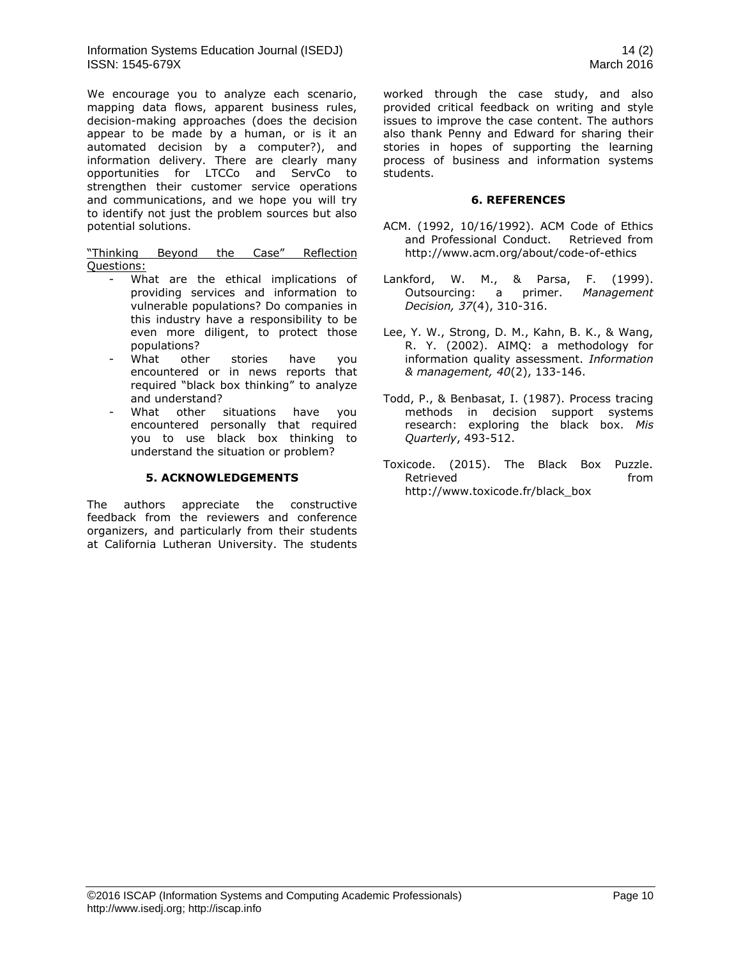We encourage you to analyze each scenario, mapping data flows, apparent business rules, decision-making approaches (does the decision appear to be made by a human, or is it an automated decision by a computer?), and information delivery. There are clearly many opportunities for LTCCo and ServCo to strengthen their customer service operations and communications, and we hope you will try to identify not just the problem sources but also potential solutions.

"Thinking Beyond the Case" Reflection Questions:

- What are the ethical implications of providing services and information to vulnerable populations? Do companies in this industry have a responsibility to be even more diligent, to protect those populations?
- What other stories have you encountered or in news reports that required "black box thinking" to analyze and understand?
- What other situations have you encountered personally that required you to use black box thinking to understand the situation or problem?

#### **5. ACKNOWLEDGEMENTS**

The authors appreciate the constructive feedback from the reviewers and conference organizers, and particularly from their students at California Lutheran University. The students worked through the case study, and also provided critical feedback on writing and style issues to improve the case content. The authors also thank Penny and Edward for sharing their stories in hopes of supporting the learning process of business and information systems students.

#### **6. REFERENCES**

- ACM. (1992, 10/16/1992). ACM Code of Ethics and Professional Conduct. Retrieved from <http://www.acm.org/about/code-of-ethics>
- Lankford, W. M., & Parsa, F. (1999). Outsourcing: a primer. *Management Decision, 37*(4), 310-316.
- Lee, Y. W., Strong, D. M., Kahn, B. K., & Wang, R. Y. (2002). AIMQ: a methodology for information quality assessment. *Information & management, 40*(2), 133-146.
- Todd, P., & Benbasat, I. (1987). Process tracing methods in decision support systems research: exploring the black box. *Mis Quarterly*, 493-512.
- Toxicode. (2015). The Black Box Puzzle. Retrieved **from** [http://www.toxicode.fr/black\\_box](http://www.toxicode.fr/black_box)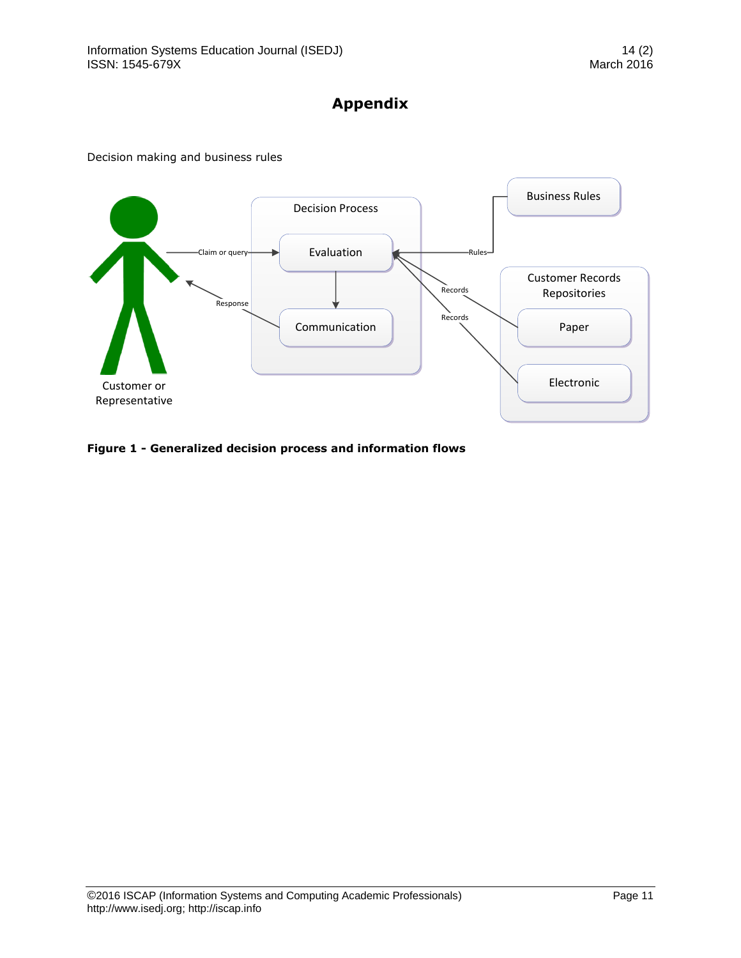# **Appendix**





**Figure 1 - Generalized decision process and information flows**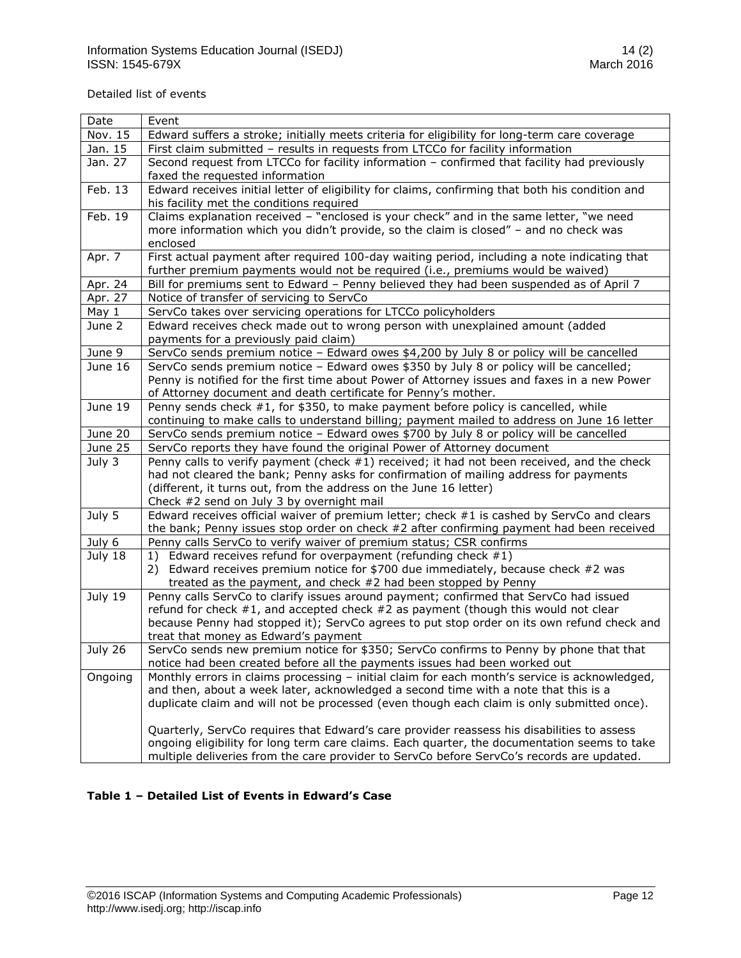Detailed list of events

| Date    | Event                                                                                                                                                                       |
|---------|-----------------------------------------------------------------------------------------------------------------------------------------------------------------------------|
| Nov. 15 | Edward suffers a stroke; initially meets criteria for eligibility for long-term care coverage                                                                               |
| Jan. 15 | First claim submitted - results in requests from LTCCo for facility information                                                                                             |
| Jan. 27 | Second request from LTCCo for facility information - confirmed that facility had previously                                                                                 |
|         | faxed the requested information                                                                                                                                             |
| Feb. 13 | Edward receives initial letter of eligibility for claims, confirming that both his condition and                                                                            |
|         | his facility met the conditions required                                                                                                                                    |
| Feb. 19 | Claims explanation received - "enclosed is your check" and in the same letter, "we need                                                                                     |
|         | more information which you didn't provide, so the claim is closed" - and no check was                                                                                       |
| Apr. 7  | enclosed<br>First actual payment after required 100-day waiting period, including a note indicating that                                                                    |
|         | further premium payments would not be required (i.e., premiums would be waived)                                                                                             |
| Apr. 24 | Bill for premiums sent to Edward - Penny believed they had been suspended as of April 7                                                                                     |
| Apr. 27 | Notice of transfer of servicing to ServCo                                                                                                                                   |
| May 1   | ServCo takes over servicing operations for LTCCo policyholders                                                                                                              |
| June 2  | Edward receives check made out to wrong person with unexplained amount (added                                                                                               |
|         | payments for a previously paid claim)                                                                                                                                       |
| June 9  | ServCo sends premium notice - Edward owes \$4,200 by July 8 or policy will be cancelled                                                                                     |
| June 16 | ServCo sends premium notice - Edward owes \$350 by July 8 or policy will be cancelled;                                                                                      |
|         | Penny is notified for the first time about Power of Attorney issues and faxes in a new Power                                                                                |
|         | of Attorney document and death certificate for Penny's mother.                                                                                                              |
| June 19 | Penny sends check #1, for \$350, to make payment before policy is cancelled, while                                                                                          |
|         | continuing to make calls to understand billing; payment mailed to address on June 16 letter                                                                                 |
| June 20 | ServCo sends premium notice - Edward owes \$700 by July 8 or policy will be cancelled                                                                                       |
| June 25 | ServCo reports they have found the original Power of Attorney document                                                                                                      |
| July 3  | Penny calls to verify payment (check $#1$ ) received; it had not been received, and the check                                                                               |
|         | had not cleared the bank; Penny asks for confirmation of mailing address for payments                                                                                       |
|         | (different, it turns out, from the address on the June 16 letter)<br>Check #2 send on July 3 by overnight mail                                                              |
| July 5  | Edward receives official waiver of premium letter; check #1 is cashed by ServCo and clears                                                                                  |
|         | the bank; Penny issues stop order on check #2 after confirming payment had been received                                                                                    |
| July 6  | Penny calls ServCo to verify waiver of premium status; CSR confirms                                                                                                         |
| July 18 | 1) Edward receives refund for overpayment (refunding check #1)                                                                                                              |
|         | 2) Edward receives premium notice for \$700 due immediately, because check #2 was                                                                                           |
|         | treated as the payment, and check #2 had been stopped by Penny                                                                                                              |
| July 19 | Penny calls ServCo to clarify issues around payment; confirmed that ServCo had issued                                                                                       |
|         | refund for check #1, and accepted check #2 as payment (though this would not clear                                                                                          |
|         | because Penny had stopped it); ServCo agrees to put stop order on its own refund check and                                                                                  |
|         | treat that money as Edward's payment                                                                                                                                        |
| July 26 | ServCo sends new premium notice for \$350; ServCo confirms to Penny by phone that that                                                                                      |
| Ongoing | notice had been created before all the payments issues had been worked out<br>Monthly errors in claims processing - initial claim for each month's service is acknowledged, |
|         | and then, about a week later, acknowledged a second time with a note that this is a                                                                                         |
|         | duplicate claim and will not be processed (even though each claim is only submitted once).                                                                                  |
|         |                                                                                                                                                                             |
|         | Quarterly, ServCo requires that Edward's care provider reassess his disabilities to assess                                                                                  |
|         | ongoing eligibility for long term care claims. Each quarter, the documentation seems to take                                                                                |
|         | multiple deliveries from the care provider to ServCo before ServCo's records are updated.                                                                                   |

### **Table 1 – Detailed List of Events in Edward's Case**